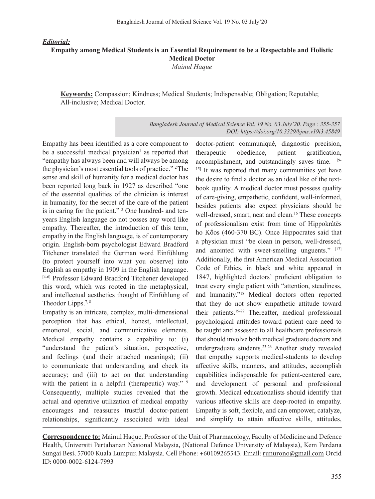*Editorial:*

## **Empathy among Medical Students is an Essential Requirement to be a Respectable and Holistic Medical Doctor** *Mainul Haque*

**Keywords:** Compassion; Kindness; Medical Students; Indispensable; Obligation; Reputable; All-inclusive; Medical Doctor.

> *Bangladesh Journal of Medical Science Vol. 19 No. 03 July'20. Page : 355-357 DOI: https://doi.org/10.3329/bjms.v19i3.45849*

Empathy has been identified as a core component to be a successful medical physician<sup>1</sup> as reported that "empathy has always been and will always be among the physician's most essential tools of practice." <sup>2</sup>The sense and skill of humanity for a medical doctor has been reported long back in 1927 as described "one of the essential qualities of the clinician is interest in humanity, for the secret of the care of the patient is in caring for the patient." <sup>3</sup> One hundred- and tenyears English language do not posses any word like empathy. Thereafter, the introduction of this term, empathy in the English language, is of contemporary origin. English-born psychologist Edward Bradford Titchener translated the German word Einfühlung (to protect yourself into what you observe) into English as empathy in 1909 in the English language. [4-6] Professor Edward Bradford Titchener developed this word, which was rooted in the metaphysical, and intellectual aesthetics thought of Einfühlung of Theodor Lipps.<sup>7, 8</sup>

Empathy is an intricate, complex, multi-dimensional perception that has ethical, honest, intellectual, emotional, social, and communicative elements. Medical empathy contains a capability to: (i) "understand the patient's situation, perspective, and feelings (and their attached meanings); (ii) to communicate that understanding and check its accuracy; and (iii) to act on that understanding with the patient in a helpful (therapeutic) way." 9 Consequently, multiple studies revealed that the actual and operative utilization of medical empathy encourages and reassures trustful doctor-patient relationships, significantly associated with ideal

doctor-patient communiqué, diagnostic precision, therapeutic obedience, patient gratification, accomplishment, and outstandingly saves time. [9- <sup>15]</sup> It was reported that many communities yet have the desire to find a doctor as an ideal like of the textbook quality. A medical doctor must possess quality of care-giving, empathetic, confident, well-informed, besides patients also expect physicians should be well-dressed, smart, neat and clean.<sup>16</sup> These concepts of professionalism exist from time of Hippokrátēs ho Kos (460-370 BC). Once Hippocrates said that a physician must "be clean in person, well-dressed, and anointed with sweet-smelling unguents." [17] Additionally, the first American Medical Association Code of Ethics, in black and white appeared in 1847, highlighted doctors' proficient obligation to treat every single patient with "attention, steadiness, and humanity."18 Medical doctors often reported that they do not show empathetic attitude toward their patients.19-22 Thereafter, medical professional psychological attitudes toward patient care need to be taught and assessed to all healthcare professionals that should involve both medical graduate doctors and undergraduate students.23-26 Another study revealed that empathy supports medical-students to develop affective skills, manners, and attitudes, accomplish capabilities indispensable for patient-centered care, and development of personal and professional growth. Medical educationalists should identify that various affective skills are deep-rooted in empathy. Empathy is soft, flexible, and can empower, catalyze, and simplify to attain affective skills, attitudes,

**Correspondence to:** Mainul Haque, Professor of the Unit of Pharmacology, Faculty of Medicine and Defence Health, Universiti Pertahanan Nasional Malaysia, (National Defence University of Malaysia), Kem Perdana Sungai Besi, 57000 Kuala Lumpur, Malaysia. Cell Phone: +60109265543. Email: runurono@gmail.com Orcid ID: 0000-0002-6124-7993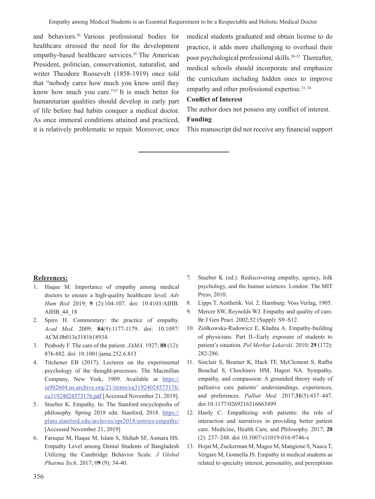and behaviors.<sup>26</sup> Various professional bodies for healthcare stressed the need for the development empathy-based healthcare services.<sup>26</sup> The American President, politician, conservationist, naturalist, and writer Theodore Roosevelt (1858-1919) once told that "nobody cares how much you know until they know how much you care."27 It is much better for humanitarian qualities should develop in early part of life before bad habits conquer a medical doctor. As once immoral conditions attained and practiced, it is relatively problematic to repair. Moreover, once medical students graduated and obtain license to do practice, it adds more challenging to overhaul their poor psychological professional skills.<sup>28-32</sup> Thereafter, medical schools should incorporate and emphasize the curriculum including hidden ones to improve empathy and other professional expertise.<sup>33, 34</sup>

## **Conflict of Interest**

The author does not possess any conflict of interest. **Funding**

This manuscript did not receive any financial support

## **References:**

- 1. Haque M. Importance of empathy among medical doctors to ensure a high-quality healthcare level*. Adv Hum Biol* 2019; **9** (2):104-107. doi: 10.4103/AIHB. AIHB\_44\_18
- 2. Spiro H. Commentary: the practice of empathy. *Acad Med*. 2009; **84**(9):1177-1179. doi: 10.1097/ ACM.0b013e3181b18934.
- 3. Peabody F. The care of the patient. *JAMA*. 1927; **88** (12): 876-882. doi: 10.1001/jama.252.6.813
- 4. Titchener EB (2017). Lectures on the experimental psychology of the thought-processes. The Macmillan Company, New York, 1909. Available at https:// ia902604.us.archive.org/21/items/cu31924024573176/ cu31924024573176.pdf [Accessed November 21, 2019].
- 5. Stueber K. Empathy. In: The Stanford encyclopedia of philosophy. Spring 2018 edn. Stanford, 2018. https:// plato.stanford.edu/archives/spr2018/entries/empathy/ [Accessed November 21, 2019]
- 6. Faruque M, Haque M, Islam S, Shihab SF, Asmara HS. Empathy Level among Dental Students of Bangladesh Utilizing the Cambridge Behavior Scale. *J Global Pharma Tech*. 2017; 0**9** (9): 34-40.
- 7. Stueber K (ed.). Rediscovering empathy, agency, folk psychology, and the human sciences. London: The MIT Press, 2010.
- 8. Lipps T. Aesthetik. Vol. 2. Hamburg: Voss Verlag, 1905.
- 9. Mercer SW, Reynolds WJ. Empathy and quality of care. Br J Gen Pract. 2002;52 (Suppl): S9–S12.
- 10. Ziółkowska-Rudowicz E, Kładna A. Empathy-building of physicians. Part II--Early exposure of students to patient's situation. *Pol Merkur Lekarski*. 2010; **29** (172): 282-286.
- 11. Sinclair S, Beamer K, Hack TF, McClement S, Raffin Bouchal S, Chochinov HM, Hagen NA. Sympathy, empathy, and compassion: A grounded theory study of palliative care patients' understandings, experiences, and preferences. *Palliat Med.* 2017;**31**(5):437–447. doi:10.1177/0269216316663499
- 12. Hardy C. Empathizing with patients: the role of interaction and narratives in providing better patient care. Medicine, Health Care, and Philosophy. 2017; **20** (2): 237–248. doi 10.1007/s11019-016-9746-x
- 13. Hojat M, Zuckerman M, Magee M, Mangione S, NascaT, Vergare M, Gonnella JS. Empathy in medical students as related to specialty interest, personality, and perceptions